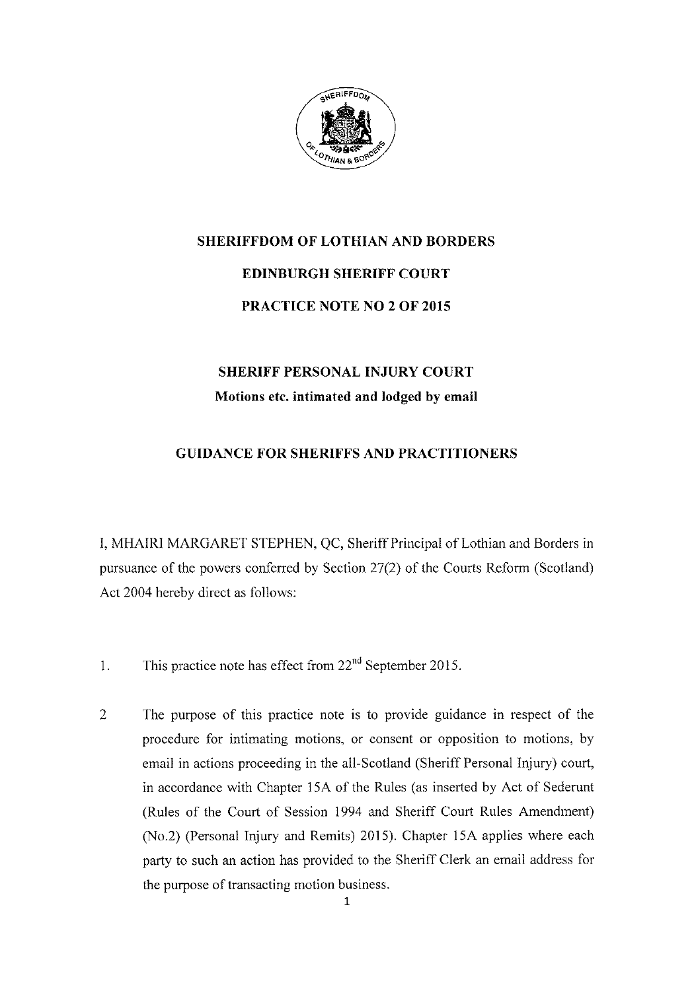

## SHERIFFDOM OF LOTHIAN AND BORDERS EDINBURGH SHERIFF COURT PRACTICE NOTE NO 2 OF 2OI5

## SHERIFF PERSONAL INJURY COURT Motions etc. intimated and lodged by email

## GUIDANCE FOR SHERIFFS AND PRACTITIONERS

I, MHAIRI MARGARET STEPHEN, QC, Sheriff Principal of Lothian and Borders in pursuance of the powers conferred by Section 27(2) of the Courts Reform (Scotland) Act 2004 hereby direct as follows:

- 1. This practice note has effect from  $22<sup>nd</sup>$  September 2015.
- The purpose of this practice note is to provide guidance in respect of the procedure for intimating motions, or consent or opposition to motions, by email in actions proceeding in the all-Scotland (Sheriff Personal Iniury) court, in accordance with Chapter 15A of the Rules (as inserted by Act of Sederunt (Rules of the Court of Session 1994 and Sheriff Court Rules Amendrnent) (No.2) (Personal Injury and Remits) 2015). Chapter 15A applies where each party to such an action has provided to the Sheriff Clerk an email address for the purpose of transacting motion business. 2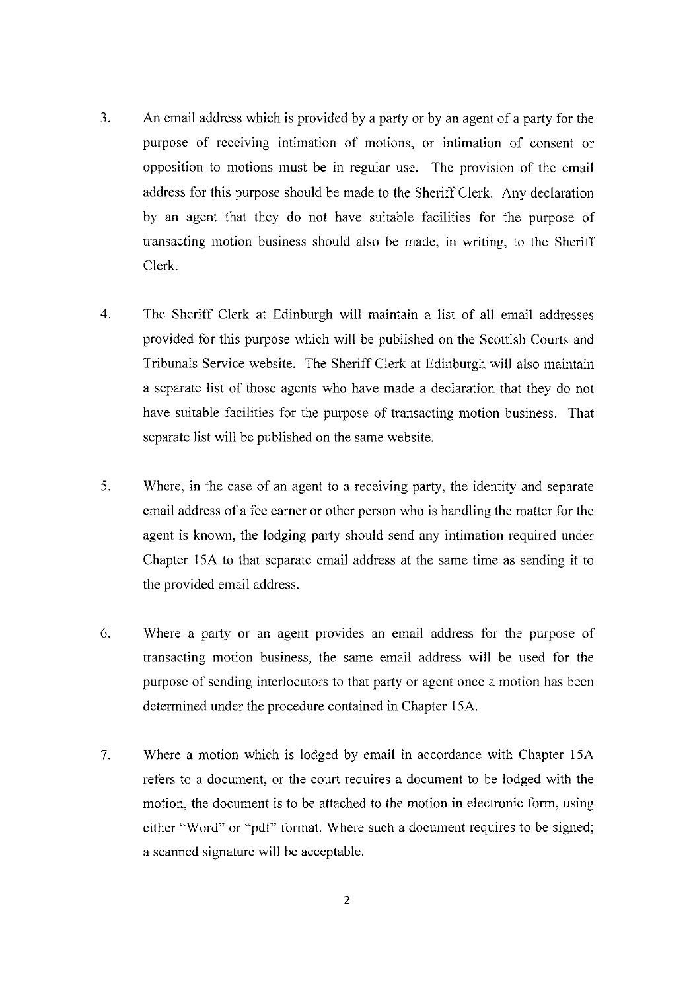- 3. An email address which is provided by a party or by an agent of a party for the purpose of receiving intimation of motions, or intimation of consent or opposition to motions must be in regular use. The provision of the email address for this purpose should be made to the Sheriff Clerk. Any declaration by an agent that they do not have suitable facilities for the purpose of transacting motion business should also be made, in writing, to the Sheriff Clerk.
- The Sheriff Clerk at Edinburgh will maintain a list of all email addresses provided for this purpose which will be published on the Scottish Courts and Tribunals Service website. The Sheriff Clerk at Edinburgh will also maintain a separate list of those agents who have made a declaration that they do not have suitable facilities for the purpose of transacting motion business. That separate list will be published on the same website. 4
- Where, in the case of an agent to a receiving party, the identity and separate email address of a fee earner or other person who is handling the matter for the agent is known, the lodging party should send any intimation required under Chapter 15A to that separate email address at the same time as sending it to the provided email address. 5
- Where a party or an agent provides an email address for the purpose of transacting motion business, the same email address will be used for the purpose of sending interlocutors to that party or agent once a motion has been determined under the procedure contained in Chapter 15A. 6
- Where a motion which is lodged by email in accordance with Chapter 15A refers to a document, or the court requires a document to be lodged with the motion, the document is to be attached to the motion in electronic form, using either "Word" or "pdf" format. Where such a document requires to be signed; a scanned signature will be acceptable. 7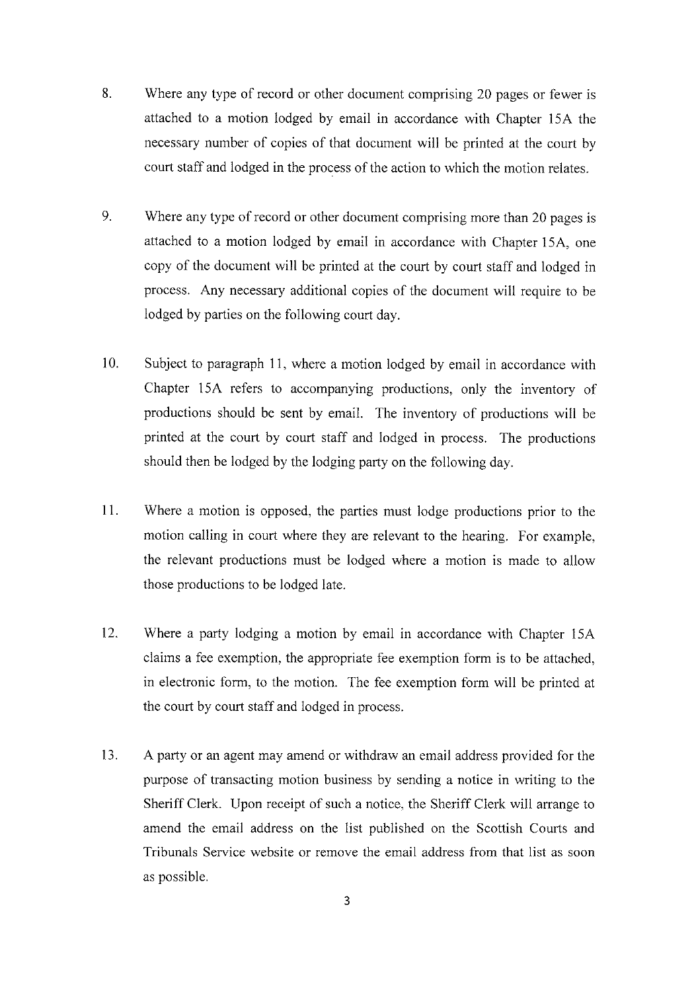- 8. Where any type of record or other document comprising 20 pages or fewer is attached to a motion lodged by email in accordance with Chapter l5A the necessary number of copies of that document will be printed at the court by court staff and lodged in the process of the action to which the motion relates.
- Where any type of record or other document comprising more than 20 pages is attached to a motion lodged by email in accordance with Chapter 15A, one copy of the document will be printed at the court by court staff and Iodged in process- Any necessary additional copies of the document will require to be lodged by parties on the following court day. 9.
- Subject to paragraph 11, where a motion lodged by email in accordance with Chapter 15A refers to accompanying productions, only the inventory of productions should be sent by email. The inventory of productions will be printed at the court by court staff and lodged in process. The productions should then be Iodged by the lodging party on the following day. l0
- Where a motion is opposed, the parties must lodge productions prior to the motion calling in court where they are relevant to the hearing. For example, the relevant productions must be lodged where a motion is made to allow those productions to be lodged late. l1
- Where a party lodging a motion by email in accordance with Chapter 15A claims a fee exemption, the appropriate fee exemption form is to be attached, in electronic form, to the motion. The fee exemption form will be printed at the court by court staff and lodged in process.  $12.$
- A party or an agent may amend or withdraw an email address provided for the purpose of transacting motion business by sending a notice in writing to the Sheriff Clerk. Upon receipt of such a notice. the Sheriff Clerk will arrange to amend the email address on the list published on the Scottish Courts and Tribunals Service website or remove the email address from that list as soon as possible. 13